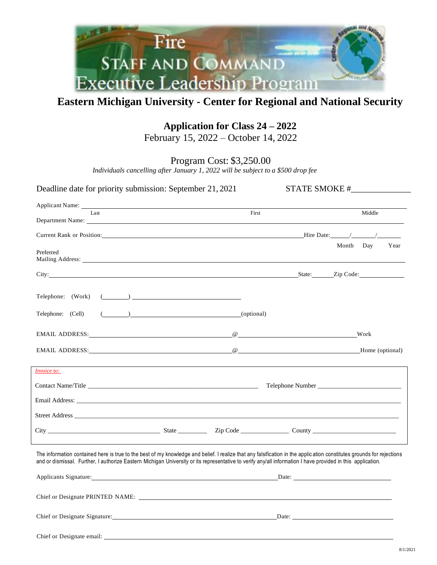

## **Eastern Michigan University - Center for Regional and National Security**

# **Application for Class 24 – 2022**

February 15, 2022 – October 14, 2022

Program Cost: \$3,250.00

*Individuals cancelling after January 1, 2022 will be subject to a \$500 drop fee*

| Deadline date for priority submission: September 21, 2021                                                                                                                                                                                                                                                                            |                      |       |                   |
|--------------------------------------------------------------------------------------------------------------------------------------------------------------------------------------------------------------------------------------------------------------------------------------------------------------------------------------|----------------------|-------|-------------------|
| Applicant Name: Name: Name and Applicant Name and Applicant Name and Applicant Name and Applicant Name and Applicant Name and Applicant Name and Applicant Name and Applicant Name and Applicant Name and Applicant Name and A                                                                                                       |                      |       |                   |
| Last<br>Department Name:                                                                                                                                                                                                                                                                                                             |                      | First | Middle            |
|                                                                                                                                                                                                                                                                                                                                      |                      |       |                   |
| Preferred                                                                                                                                                                                                                                                                                                                            |                      |       | Month Day<br>Year |
| City: City: City: City: City: City: City: City: City: City: City: City: City: City: City: City: Code: City: City: City: City: City: City: City: City: City: City: City: City: City: City: City: City: City: City: City: City:                                                                                                        |                      |       |                   |
|                                                                                                                                                                                                                                                                                                                                      |                      |       |                   |
| Telephone: (Cell)                                                                                                                                                                                                                                                                                                                    | $($ ( $)$ (optional) |       |                   |
|                                                                                                                                                                                                                                                                                                                                      |                      |       |                   |
|                                                                                                                                                                                                                                                                                                                                      |                      |       |                   |
| <i>Invoice to:</i>                                                                                                                                                                                                                                                                                                                   |                      |       |                   |
|                                                                                                                                                                                                                                                                                                                                      |                      |       |                   |
|                                                                                                                                                                                                                                                                                                                                      |                      |       |                   |
|                                                                                                                                                                                                                                                                                                                                      |                      |       |                   |
|                                                                                                                                                                                                                                                                                                                                      |                      |       |                   |
| The information contained here is true to the best of my knowledge and belief. I realize that any falsification in the application constitutes grounds for rejections<br>and or dismissal. Further, I authorize Eastern Michigan University or its representative to verify any/all information I have provided in this application. |                      |       |                   |
| Applicants Signature:                                                                                                                                                                                                                                                                                                                |                      |       | Date:             |
| Chief or Designate PRINTED NAME:                                                                                                                                                                                                                                                                                                     |                      |       |                   |

Chief or Designate Signature: Date: Date: Date: Date: Date: Date: Date: Date: Date: Date: Date: Date: Date: Date: Date: Date: Date: Date: Date: Date: Date: Date: Date: Date: Date: Date: Date: Date: Date: Date: Date: Date:

Chief or Designate email: